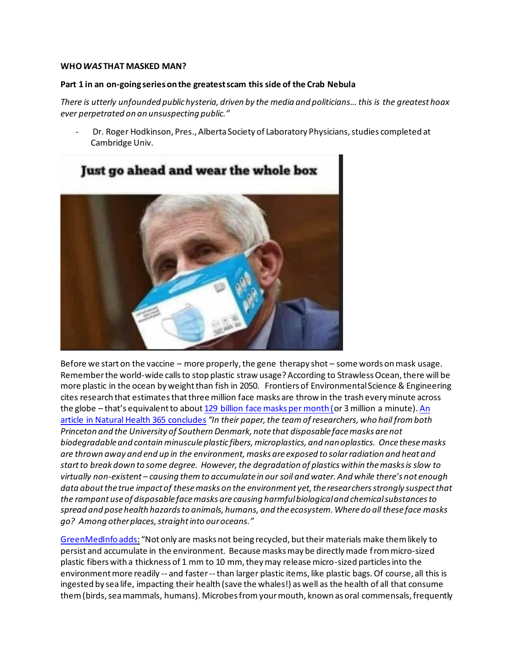## **WHO** *WAS* **THAT MASKED MAN?**

## **Part 1 in an on-going series on the greatest scam this side of the Crab Nebula**

*[There is utterly unfounded public hysteria, driven by the media and politicians… this is](https://www.bitchute.com/video/CC7IFzOuKkZ6/) the greatest hoax [ever perpetrated on an unsuspecting public."](https://www.bitchute.com/video/CC7IFzOuKkZ6/)*

*-* Dr. Roger Hodkinson, Pres., Alberta Society of Laboratory Physicians, studies completed at Cambridge Univ.



Before we start on the vaccine – more properly, the gene therapy shot – some words on mask usage. Remember the world-wide calls to stop plastic straw usage? According to Strawless Ocean, there will be more plastic in the ocean by weight than fish in 2050. Frontiers of Environmental Science & Engineering cites research that estimates that three million face masks are throw in the trash every minute across the globe – that's equivalent to about [129 billion face masks per month \(o](https://www.studyfinds.org/3-million-face-masks-thrown-out/)r 3 million a minute). [An](https://www.naturalhealth365.com/face-masks-new-plastic-3776.html)  [article in Natural Health 365 concludes](https://www.naturalhealth365.com/face-masks-new-plastic-3776.html) *"In their paper, the team of researchers, who hail from both Princeton and the University of Southern Denmark, note that disposable face masks are not biodegradable and contain minuscule plastic fibers, microplastics, and nanoplastics. Once these masks are thrown away and end up in the environment, masks are exposed to solar radiation and heat and start to break down to some degree. However, the degradation of plastics within the masks is slow to virtually non-existent – causing them to accumulate in our soil and water. And while there's not enough data about the true impact of these masks on the environment yet, the researchers strongly suspect that the rampant use of disposable face masks are causing harmful biological and chemical substances to spread and pose health hazards to animals, humans, and the ecosystem. Where do all these face masks go? Among other places, straight into our oceans."*

[GreenMedInfo adds:](https://www.greenmedinfo.com/blog/masks-are-ticking-time-bomb?utm_campaign=Daily%20Newsletter%3A%20Masks%20Are%20a%20Ticking%20Time%20Bomb%20%28SbtDRV%29&utm_medium=email&utm_source=Daily%20Newsletter&_ke=eyJrbF9jb21wYW55X2lkIjogIksydlhBeSIsICJrbF9lbWFpbCI6ICJqdmFubmVAY29tY2FzdC5uZXQifQ%3D%3D) "Not only are masks not being recycled, but their materials make them likely to persist and accumulate in the environment. Because masks may be directly made from micro-sized plastic fibers with a thickness of 1 mm to 10 mm, they may release micro-sized particles into the environment more readily -- and faster --than larger plastic items, like plastic bags. Of course, all this is ingested by sea life, impacting their health (save the whales!) as well as the health of all that consume them (birds, sea mammals, humans). Microbes from your mouth, known as oral commensals, frequently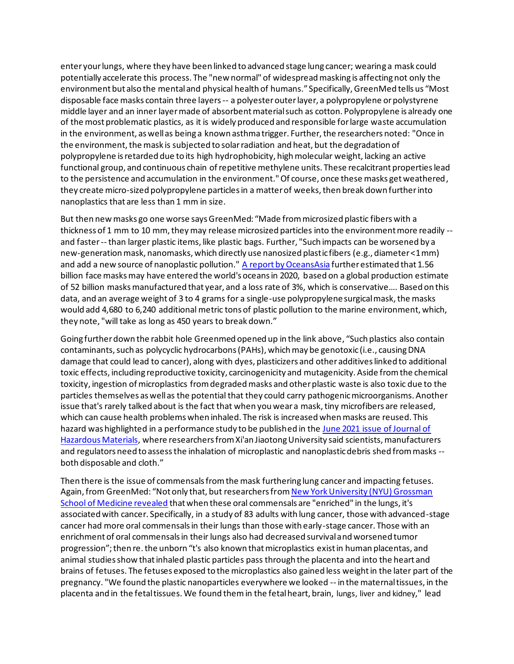enter your lungs, where they have been linked to advanced stage lung cancer; wearing a mask could potentially accelerate this process. The "new normal" of widespread masking is affecting not only the environment but also the mental and physical health of humans." Specifically, GreenMed tells us "Most disposable face masks contain three layers -- a polyester outer layer, a polypropylene or polystyrene middle layer and an inner layer made of absorbent material such as cotton. Polypropylene is already one of the most problematic plastics, as it is widely produced and responsible for large waste accumulation in the environment, as well as being a known asthma trigger. Further, the researchers noted: "Once in the environment, the mask is subjected to solar radiation and heat, but the degradation of polypropylene is retarded due to its high hydrophobicity, high molecular weight, lacking an active functional group, and continuous chain of repetitive methylene units. These recalcitrant properties lead to the persistence and accumulation in the environment." Of course, once these masks get weathered, they create micro-sized polypropylene particles in a matter of weeks, then break down further into nanoplastics that are less than 1 mm in size.

But then new masks go one worse says GreenMed: "Made from microsized plastic fibers with a thickness of 1 mm to 10 mm, they may release microsized particles into the environment more readily - and faster --than larger plastic items, like plastic bags. Further, "Such impacts can be worsened by a new-generation mask, nanomasks, which directly use nanosized plastic fibers (e.g., diameter <1 mm) and add a new source of nanoplastic pollution.[" A report by OceansAsia](https://oceansasia.org/covid-19-facemasks/) further estimated that 1.56 billion face masks may have entered the world's oceans in 2020, based on a global production estimate of 52 billion masks manufactured that year, and a loss rate of 3%, which is conservative…. Based on this data, and an average weight of 3 to 4 grams for a single-use polypropylene surgical mask, the masks would add 4,680 to 6,240 additional metric tons of plastic pollution to the marine environment, which, they note, "will take as long as 450 years to break down."

Going further down the rabbit hole Greenmed opened up in the link above, "Such plastics also contain contaminants, such as polycyclic hydrocarbons (PAHs), which may be genotoxic (i.e., causing DNA damage that could lead to cancer), along with dyes, plasticizers and other additives linked to additional toxic effects, including reproductive toxicity, carcinogenicity and mutagenicity. Aside from the chemical toxicity, ingestion of microplastics from degraded masks and other plastic waste is also toxic due to the particles themselves as well as the potential that they could carry pathogenic microorganisms. Another issue that's rarely talked about is the fact that when you wear a mask, tiny microfibers are released, which can cause health problems when inhaled. The risk is increased when masks are reused. This hazard was highlighted in a performance study to be published in the June 2021 issue of Journal of [Hazardous Materials,](https://www.sciencedirect.com/science/article/pii/S0304389420329460) where researchers from Xi'an Jiaotong University said scientists, manufacturers and regulators need to assess the inhalation of microplastic and nanoplastic debris shed from masks - both disposable and cloth."

Then there is the issue of commensals from the mask furthering lung cancer and impacting fetuses. Again, from GreenMed: "Not only that, but researchers fro[m New York University \(NYU\) Grossman](https://www.technocracy.news/masks-are-a-ticking-time-bomb-for-humans-and-environment/)  [School of Medicine revealed](https://www.technocracy.news/masks-are-a-ticking-time-bomb-for-humans-and-environment/) that when these oral commensals are "enriched" in the lungs, it's associated with cancer. Specifically, in a study of 83 adults with lung cancer, those with advanced-stage cancer had more oral commensals in their lungs than those with early-stage cancer. Those with an enrichment of oral commensals in their lungs also had decreased survival and worsened tumor progression"; then re. the unborn "t's also known that microplastics exist in human placentas, and animal studies show that inhaled plastic particles pass through the placenta and into the heart and brains of fetuses. The fetuses exposed to the microplastics also gained less weight in the later part of the pregnancy. "We found the plastic nanoparticles everywhere we looked -- in the maternal tissues, in the placenta and in the fetal tissues. We found them in the fetal heart, brain, lungs, liver and kidney," [lead](https://eohsi.rutgers.edu/eohsi-directory/name/phoebe-stapleton/)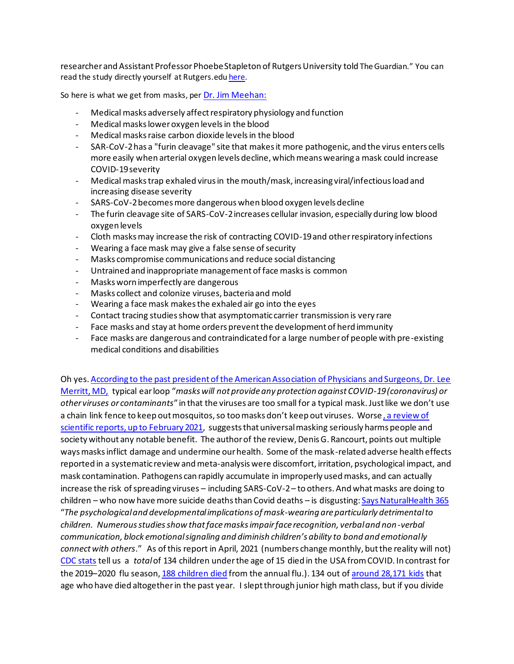researcher and Assistant Professor [Phoebe Stapleton of Rutgers University](https://eohsi.rutgers.edu/eohsi-directory/name/phoebe-stapleton/) told The Guardian." You can read the study directly yourself at Rutgers.ed[u here.](https://eohsi.rutgers.edu/eohsi-directory/name/phoebe-stapleton/)

So here is what we get from masks, per [Dr. Jim Meehan:](file:///C:/Users/jvann/OneDrive/Desktop/Coronavirus%20Riots%20&%20Election%20misc/Coronvirus%20-%20my%20writings/MeehanMd.com%20November%2020,%202020)

- *-* Medical masks adversely affect respiratory physiology and function
- *-* Medical masks lower oxygen levels in the blood
- *-* Medical masks raise carbon dioxide levels in the blood
- *-* SAR-CoV-2 has a "furin cleavage" site that makes it more pathogenic, and the virus enters cells more easily when arterial oxygen levels decline, which means wearing a mask could increase COVID-19 severity
- *-* Medical masks trap exhaled virus in the mouth/mask, increasing viral/infectious load and increasing disease severity
- *-* SARS-CoV-2 becomes more dangerous when blood oxygen levels decline
- *-* The furin cleavage site of SARS-CoV-2 increases cellular invasion, especially during low blood oxygen levels
- *-* Cloth masks may increase the risk of contracting COVID-19 and other respiratory infections
- *-* Wearing a face mask may give a false sense of security
- *-* Masks compromise communications and reduce social distancing
- *-* Untrained and inappropriate management of face masks is common
- *-* Masks worn imperfectly are dangerous
- *-* Masks collect and colonize viruses, bacteria and mold
- *-* Wearing a face mask makes the exhaled air go into the eyes
- *-* Contact tracing studies show that asymptomatic carrier transmission is very rare
- *-* Face masks and stay at home orders prevent the development of herd immunity
- *-* Face masks are dangerous and contraindicated for a large number of people with pre-existing medical conditions and disabilities

Oh yes[. According to the past president of the American Association of Physicians and Surgeons, Dr. Lee](https://www.naturalhealth365.com/unmasking-the-truth-about-face-masks-3772.html)  [Merritt, MD,](https://www.naturalhealth365.com/unmasking-the-truth-about-face-masks-3772.html) typical ear loop "*masks will not provide any protection against COVID-19 (coronavirus) or other viruses or contaminants*" in that the viruses are too small for a typical mask. Just like we don't use a chain link fence to keep out mosquitos, so too masks don't keep out viruses. Worse [, a review of](https://principia-scientific.com/why-masks-dont-work-against-covid-19/)  [scientific reports, up to February 2021,](https://principia-scientific.com/why-masks-dont-work-against-covid-19/) suggests that universal masking seriously harms people and society without any notable benefit. The author of the review, Denis G. Rancourt, points out multiple ways masks inflict damage and undermine our health. Some of the mask-related adverse health effects reported in a systematic review and meta-analysis were discomfort, irritation, psychological impact, and mask contamination. Pathogens can rapidly accumulate in improperly used masks, and can actually increase the risk of spreading viruses – including SARS-CoV-2 – to others. And what masks are doing to children – who now have more suicide deaths than Covid deaths – is disgusting[: Says NaturalHealth 365](https://www.naturalhealth365.com/unmasking-the-truth-about-face-masks-3772.html) "*The psychological and developmental implications of mask-wearing are particularly detrimental to children. Numerous studies show that face masks impair face recognition, verbal and non-verbal communication, block emotional signaling and diminish children's ability to bond and emotionally connect with others*." As of this report in April, 2021 (numbers change monthly, but the reality will not) [CDC stats](https://www.cdc.gov/mmwr/volumes/70/wr/mm7014e1.htm) tell us a *total*of 134 children under the age of 15 died in the USA from COVID. In contrast for the 2019–2020 flu season, [188 children died](https://www.cdc.gov/flu/spotlights/2019-2020/2019-20-pediatric-flu-deaths.htm) from the annual flu.). 134 out of [around 28,171 kids](https://www.cdc.gov/mmwr/volumes/70/wr/mm7014e1.htm) that age who have died altogether in the past year. I slept through junior high math class, but if you divide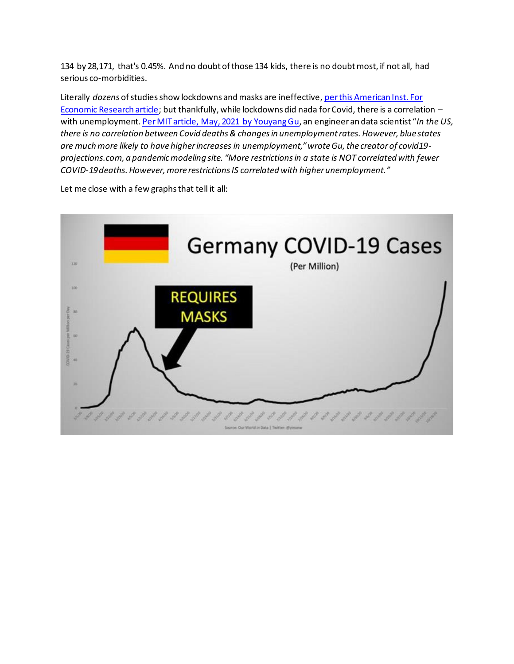134 by 28,171, that's 0.45%. And no doubt of those 134 kids, there is no doubt most, if not all, had serious co-morbidities.

Literally *dozens* of studies show lockdowns and masks are ineffective[, per this American Inst. For](https://www.aier.org/article/lockdowns-do-not-control-the-coronavirus-the-evidence/)  [Economic Research article;](https://www.aier.org/article/lockdowns-do-not-control-the-coronavirus-the-evidence/) but thankfully, while lockdowns did nada for Covid, there is a correlation – with unemployment[. Per MIT article, May, 2021 by Youyang Gu](https://www.activistpost.com/2021/06/mit-data-scientist-lockdowns-not-correlated-with-fewer-deaths-but-are-correlated-with-more-unemployment.html?utm_source=feedburner&utm_medium=feed&utm_campaign=Feed%3A+ActivistPost+%28Activist+Post%29), an engineer an data scientist "*In the US, there is no correlation between Covid deaths & changes in unemployment rates. However, blue states are much more likely to have higher increases in unemployment," wrote Gu, the creator of covid19 projections.com, a pandemic modeling site. "More restrictions in a state is NOT correlated with fewer COVID-19 deaths. However, more restrictions IS correlated with higher unemployment."*

Let me close with a few graphs that tell it all:

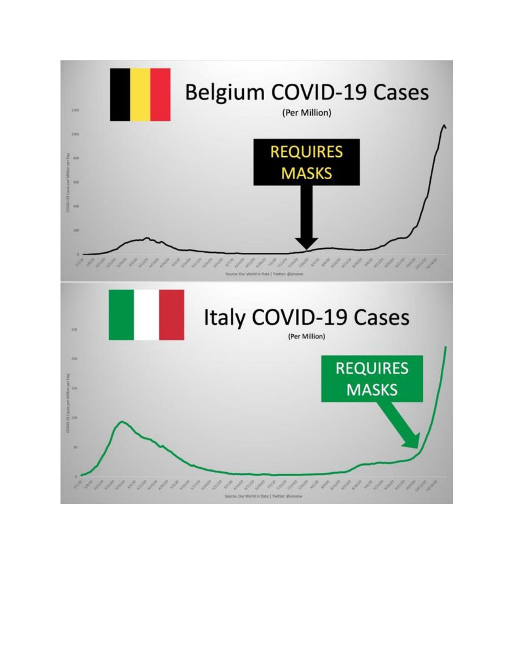